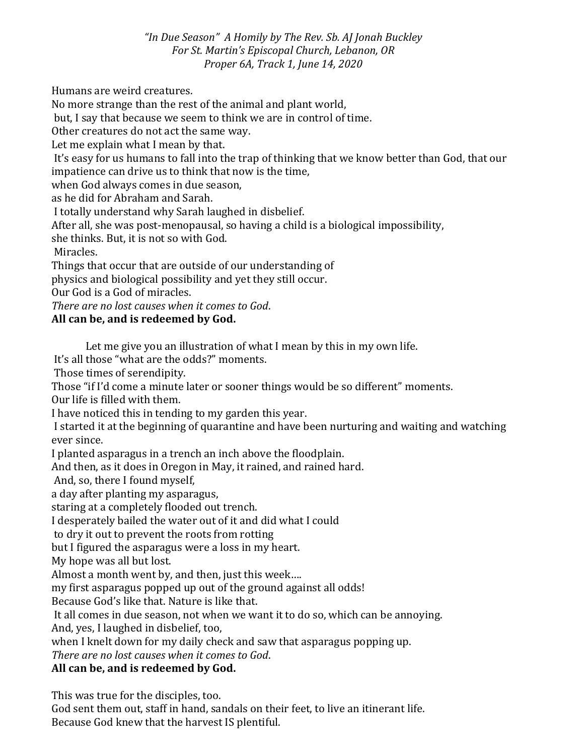*"In Due Season" A Homily by The Rev. Sb. AJ Jonah Buckley For St. Martin's Episcopal Church, Lebanon, OR Proper 6A, Track 1, June 14, 2020*

Humans are weird creatures.

No more strange than the rest of the animal and plant world,

but, I say that because we seem to think we are in control of time.

Other creatures do not act the same way.

Let me explain what I mean by that.

It's easy for us humans to fall into the trap of thinking that we know better than God, that our impatience can drive us to think that now is the time,

when God always comes in due season,

as he did for Abraham and Sarah.

I totally understand why Sarah laughed in disbelief.

After all, she was post-menopausal, so having a child is a biological impossibility,

she thinks. But, it is not so with God.

Miracles.

Things that occur that are outside of our understanding of

physics and biological possibility and yet they still occur.

Our God is a God of miracles.

*There are no lost causes when it comes to God*.

## **All can be, and is redeemed by God.**

Let me give you an illustration of what I mean by this in my own life.

It's all those "what are the odds?" moments.

Those times of serendipity.

Those "if I'd come a minute later or sooner things would be so different" moments.

Our life is filled with them.

I have noticed this in tending to my garden this year.

I started it at the beginning of quarantine and have been nurturing and waiting and watching ever since.

I planted asparagus in a trench an inch above the floodplain.

And then, as it does in Oregon in May, it rained, and rained hard.

And, so, there I found myself,

a day after planting my asparagus,

staring at a completely flooded out trench.

I desperately bailed the water out of it and did what I could

to dry it out to prevent the roots from rotting

but I figured the asparagus were a loss in my heart.

My hope was all but lost.

Almost a month went by, and then, just this week….

my first asparagus popped up out of the ground against all odds!

Because God's like that. Nature is like that.

It all comes in due season, not when we want it to do so, which can be annoying.

And, yes, I laughed in disbelief, too,

when I knelt down for my daily check and saw that asparagus popping up.

*There are no lost causes when it comes to God*.

## **All can be, and is redeemed by God.**

This was true for the disciples, too.

God sent them out, staff in hand, sandals on their feet, to live an itinerant life. Because God knew that the harvest IS plentiful.